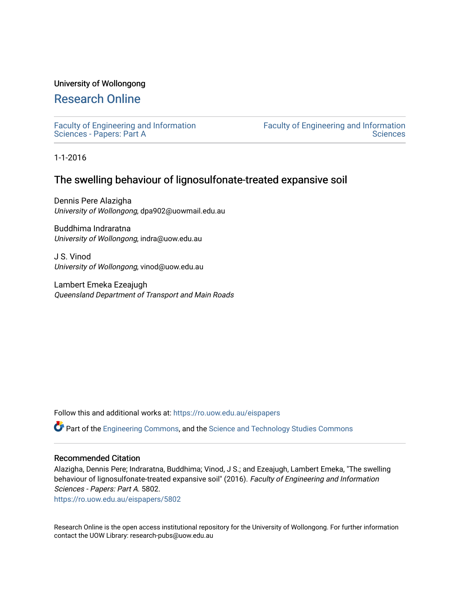## University of Wollongong

# [Research Online](https://ro.uow.edu.au/)

[Faculty of Engineering and Information](https://ro.uow.edu.au/eispapers)  [Sciences - Papers: Part A](https://ro.uow.edu.au/eispapers) 

[Faculty of Engineering and Information](https://ro.uow.edu.au/eis)  **Sciences** 

1-1-2016

# The swelling behaviour of lignosulfonate-treated expansive soil

Dennis Pere Alazigha University of Wollongong, dpa902@uowmail.edu.au

Buddhima Indraratna University of Wollongong, indra@uow.edu.au

J S. Vinod University of Wollongong, vinod@uow.edu.au

Lambert Emeka Ezeajugh Queensland Department of Transport and Main Roads

Follow this and additional works at: [https://ro.uow.edu.au/eispapers](https://ro.uow.edu.au/eispapers?utm_source=ro.uow.edu.au%2Feispapers%2F5802&utm_medium=PDF&utm_campaign=PDFCoverPages)

Part of the [Engineering Commons](http://network.bepress.com/hgg/discipline/217?utm_source=ro.uow.edu.au%2Feispapers%2F5802&utm_medium=PDF&utm_campaign=PDFCoverPages), and the [Science and Technology Studies Commons](http://network.bepress.com/hgg/discipline/435?utm_source=ro.uow.edu.au%2Feispapers%2F5802&utm_medium=PDF&utm_campaign=PDFCoverPages)

#### Recommended Citation

Alazigha, Dennis Pere; Indraratna, Buddhima; Vinod, J S.; and Ezeajugh, Lambert Emeka, "The swelling behaviour of lignosulfonate-treated expansive soil" (2016). Faculty of Engineering and Information Sciences - Papers: Part A. 5802.

[https://ro.uow.edu.au/eispapers/5802](https://ro.uow.edu.au/eispapers/5802?utm_source=ro.uow.edu.au%2Feispapers%2F5802&utm_medium=PDF&utm_campaign=PDFCoverPages) 

Research Online is the open access institutional repository for the University of Wollongong. For further information contact the UOW Library: research-pubs@uow.edu.au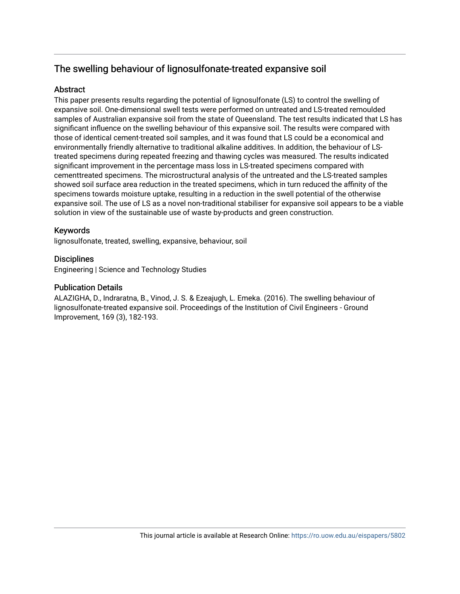# The swelling behaviour of lignosulfonate-treated expansive soil

# Abstract

This paper presents results regarding the potential of lignosulfonate (LS) to control the swelling of expansive soil. One-dimensional swell tests were performed on untreated and LS-treated remoulded samples of Australian expansive soil from the state of Queensland. The test results indicated that LS has significant influence on the swelling behaviour of this expansive soil. The results were compared with those of identical cement-treated soil samples, and it was found that LS could be a economical and environmentally friendly alternative to traditional alkaline additives. In addition, the behaviour of LStreated specimens during repeated freezing and thawing cycles was measured. The results indicated significant improvement in the percentage mass loss in LS-treated specimens compared with cementtreated specimens. The microstructural analysis of the untreated and the LS-treated samples showed soil surface area reduction in the treated specimens, which in turn reduced the affinity of the specimens towards moisture uptake, resulting in a reduction in the swell potential of the otherwise expansive soil. The use of LS as a novel non-traditional stabiliser for expansive soil appears to be a viable solution in view of the sustainable use of waste by-products and green construction.

# Keywords

lignosulfonate, treated, swelling, expansive, behaviour, soil

# **Disciplines**

Engineering | Science and Technology Studies

# Publication Details

ALAZIGHA, D., Indraratna, B., Vinod, J. S. & Ezeajugh, L. Emeka. (2016). The swelling behaviour of lignosulfonate-treated expansive soil. Proceedings of the Institution of Civil Engineers - Ground Improvement, 169 (3), 182-193.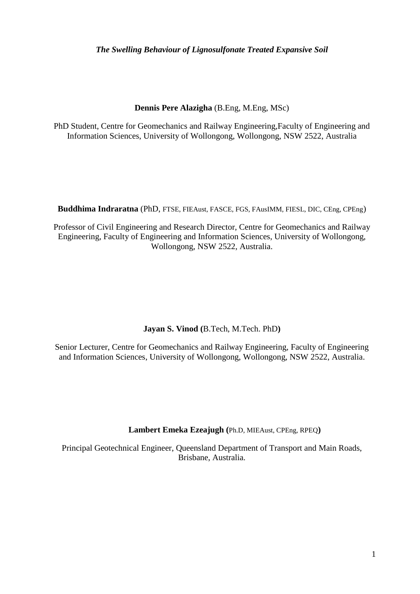# *The Swelling Behaviour of Lignosulfonate Treated Expansive Soil*

# **Dennis Pere Alazigha** (B.Eng, M.Eng, MSc)

PhD Student, Centre for Geomechanics and Railway Engineering,Faculty of Engineering and Information Sciences, University of Wollongong, Wollongong, NSW 2522, Australia

**Buddhima Indraratna** (PhD, FTSE, FIEAust, FASCE, FGS, FAusIMM, FIESL, DIC, CEng, CPEng)

Professor of Civil Engineering and Research Director, Centre for Geomechanics and Railway Engineering, Faculty of Engineering and Information Sciences, University of Wollongong, Wollongong, NSW 2522, Australia.

# **Jayan S. Vinod (**B.Tech, M.Tech. PhD**)**

Senior Lecturer, Centre for Geomechanics and Railway Engineering, Faculty of Engineering and Information Sciences, University of Wollongong, Wollongong, NSW 2522, Australia.

**Lambert Emeka Ezeajugh (**Ph.D, MIEAust, CPEng, RPEQ**)**

Principal Geotechnical Engineer, Queensland Department of Transport and Main Roads, Brisbane, Australia.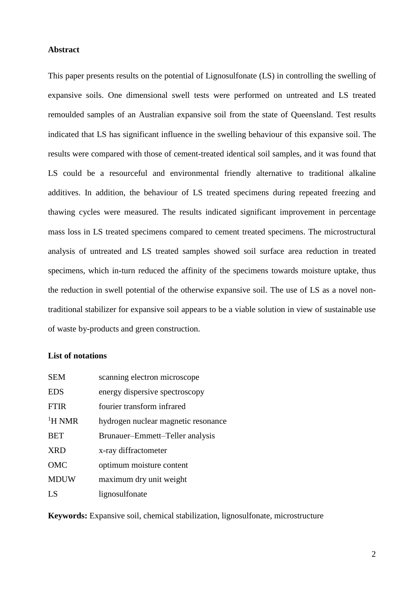## **Abstract**

This paper presents results on the potential of Lignosulfonate (LS) in controlling the swelling of expansive soils. One dimensional swell tests were performed on untreated and LS treated remoulded samples of an Australian expansive soil from the state of Queensland. Test results indicated that LS has significant influence in the swelling behaviour of this expansive soil. The results were compared with those of cement-treated identical soil samples, and it was found that LS could be a resourceful and environmental friendly alternative to traditional alkaline additives. In addition, the behaviour of LS treated specimens during repeated freezing and thawing cycles were measured. The results indicated significant improvement in percentage mass loss in LS treated specimens compared to cement treated specimens. The microstructural analysis of untreated and LS treated samples showed soil surface area reduction in treated specimens, which in-turn reduced the affinity of the specimens towards moisture uptake, thus the reduction in swell potential of the otherwise expansive soil. The use of LS as a novel nontraditional stabilizer for expansive soil appears to be a viable solution in view of sustainable use of waste by-products and green construction.

#### **List of notations**

| <b>SEM</b>    | scanning electron microscope        |  |
|---------------|-------------------------------------|--|
| <b>EDS</b>    | energy dispersive spectroscopy      |  |
| <b>FTIR</b>   | fourier transform infrared          |  |
| ${}^{1}H$ NMR | hydrogen nuclear magnetic resonance |  |
| <b>BET</b>    | Brunauer–Emmett–Teller analysis     |  |
| <b>XRD</b>    | x-ray diffractometer                |  |
| OMC           | optimum moisture content            |  |
| <b>MDUW</b>   | maximum dry unit weight             |  |
| LS            | lignosulfonate                      |  |

**Keywords:** Expansive soil, chemical stabilization, lignosulfonate, microstructure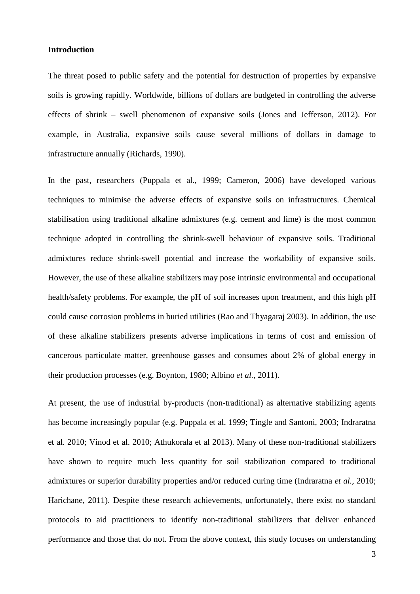#### **Introduction**

The threat posed to public safety and the potential for destruction of properties by expansive soils is growing rapidly. Worldwide, billions of dollars are budgeted in controlling the adverse effects of shrink – swell phenomenon of expansive soils (Jones and Jefferson, 2012). For example, in Australia, expansive soils cause several millions of dollars in damage to infrastructure annually (Richards, 1990).

In the past, researchers (Puppala et al., 1999; Cameron, 2006) have developed various techniques to minimise the adverse effects of expansive soils on infrastructures. Chemical stabilisation using traditional alkaline admixtures (e.g. cement and lime) is the most common technique adopted in controlling the shrink-swell behaviour of expansive soils. Traditional admixtures reduce shrink-swell potential and increase the workability of expansive soils. However, the use of these alkaline stabilizers may pose intrinsic environmental and occupational health/safety problems. For example, the pH of soil increases upon treatment, and this high pH could cause corrosion problems in buried utilities (Rao and Thyagaraj 2003). In addition, the use of these alkaline stabilizers presents adverse implications in terms of cost and emission of cancerous particulate matter, greenhouse gasses and consumes about 2% of global energy in their production processes (e.g. Boynton, 1980; Albino *et al.,* 2011).

At present, the use of industrial by-products (non-traditional) as alternative stabilizing agents has become increasingly popular (e.g. Puppala et al. 1999; Tingle and Santoni, 2003; Indraratna et al. 2010; Vinod et al. 2010; Athukorala et al 2013). Many of these non-traditional stabilizers have shown to require much less quantity for soil stabilization compared to traditional admixtures or superior durability properties and/or reduced curing time (Indraratna *et al.,* 2010; Harichane, 2011). Despite these research achievements, unfortunately, there exist no standard protocols to aid practitioners to identify non-traditional stabilizers that deliver enhanced performance and those that do not. From the above context, this study focuses on understanding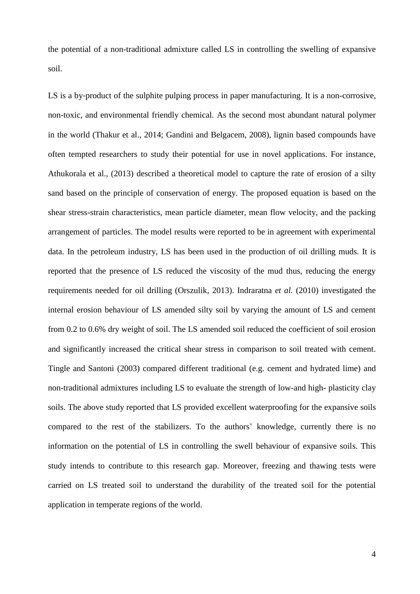the potential of a non-traditional admixture called LS in controlling the swelling of expansive soil.

LS is a by-product of the sulphite pulping process in paper manufacturing. It is a non-corrosive, non-toxic, and environmental friendly chemical. As the second most abundant natural polymer in the world (Thakur et al., 2014; Gandini and Belgacem, 2008), lignin based compounds have often tempted researchers to study their potential for use in novel applications. For instance, Athukorala et al., (2013) described a theoretical model to capture the rate of erosion of a silty sand based on the principle of conservation of energy. The proposed equation is based on the shear stress-strain characteristics, mean particle diameter, mean flow velocity, and the packing arrangement of particles. The model results were reported to be in agreement with experimental data. In the petroleum industry, LS has been used in the production of oil drilling muds. It is reported that the presence of LS reduced the viscosity of the mud thus, reducing the energy requirements needed for oil drilling (Orszulik, 2013). Indraratna *et al.* (2010) investigated the internal erosion behaviour of LS amended silty soil by varying the amount of LS and cement from 0.2 to 0.6% dry weight of soil. The LS amended soil reduced the coefficient of soil erosion and significantly increased the critical shear stress in comparison to soil treated with cement. Tingle and Santoni (2003) compared different traditional (e.g. cement and hydrated lime) and non-traditional admixtures including LS to evaluate the strength of low-and high- plasticity clay soils. The above study reported that LS provided excellent waterproofing for the expansive soils compared to the rest of the stabilizers. To the authors' knowledge, currently there is no information on the potential of LS in controlling the swell behaviour of expansive soils. This study intends to contribute to this research gap. Moreover, freezing and thawing tests were carried on LS treated soil to understand the durability of the treated soil for the potential application in temperate regions of the world.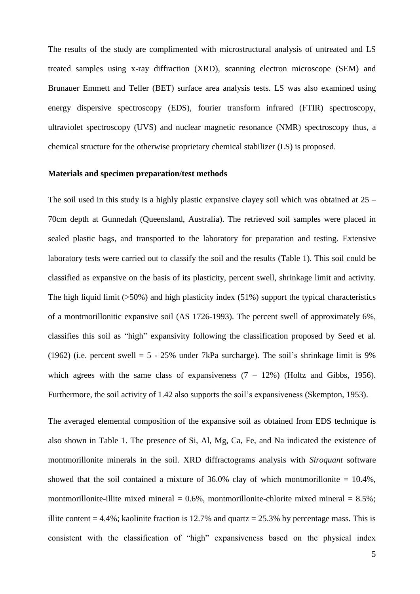The results of the study are complimented with microstructural analysis of untreated and LS treated samples using x-ray diffraction (XRD), scanning electron microscope (SEM) and Brunauer Emmett and Teller (BET) surface area analysis tests. LS was also examined using energy dispersive spectroscopy (EDS), fourier transform infrared (FTIR) spectroscopy, ultraviolet spectroscopy (UVS) and nuclear magnetic resonance (NMR) spectroscopy thus, a chemical structure for the otherwise proprietary chemical stabilizer (LS) is proposed.

## **Materials and specimen preparation/test methods**

The soil used in this study is a highly plastic expansive clayey soil which was obtained at  $25 -$ 70cm depth at Gunnedah (Queensland, Australia). The retrieved soil samples were placed in sealed plastic bags, and transported to the laboratory for preparation and testing. Extensive laboratory tests were carried out to classify the soil and the results (Table 1). This soil could be classified as expansive on the basis of its plasticity, percent swell, shrinkage limit and activity*.*  The high liquid limit  $(50\%)$  and high plasticity index (51%) support the typical characteristics of a montmorillonitic expansive soil (AS 1726-1993). The percent swell of approximately 6%, classifies this soil as "high" expansivity following the classification proposed by Seed et al. (1962) (i.e. percent swell  $= 5 - 25\%$  under 7kPa surcharge). The soil's shrinkage limit is 9% which agrees with the same class of expansiveness  $(7 - 12\%)$  (Holtz and Gibbs, 1956). Furthermore, the soil activity of 1.42 also supports the soil's expansiveness (Skempton, 1953).

The averaged elemental composition of the expansive soil as obtained from EDS technique is also shown in Table 1. The presence of Si, Al, Mg, Ca, Fe, and Na indicated the existence of montmorillonite minerals in the soil. XRD diffractograms analysis with *Siroquant* software showed that the soil contained a mixture of  $36.0\%$  clay of which montmorillonite =  $10.4\%$ , montmorillonite-illite mixed mineral =  $0.6\%$ , montmorillonite-chlorite mixed mineral =  $8.5\%$ ; illite content  $= 4.4\%$ ; kaolinite fraction is 12.7% and quartz  $= 25.3\%$  by percentage mass. This is consistent with the classification of "high" expansiveness based on the physical index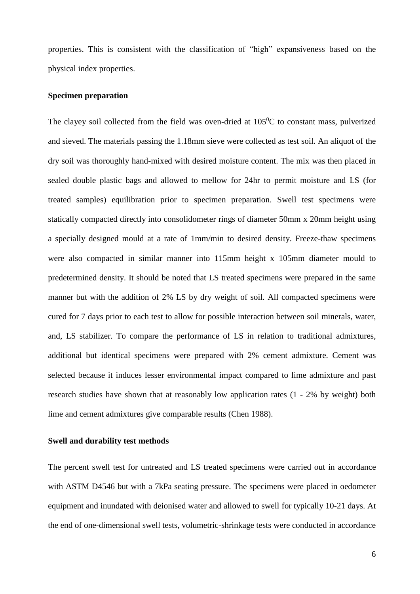properties. This is consistent with the classification of "high" expansiveness based on the physical index properties.

#### **Specimen preparation**

The clayey soil collected from the field was oven-dried at  $105^{\circ}$ C to constant mass, pulverized and sieved. The materials passing the 1.18mm sieve were collected as test soil. An aliquot of the dry soil was thoroughly hand-mixed with desired moisture content. The mix was then placed in sealed double plastic bags and allowed to mellow for 24hr to permit moisture and LS (for treated samples) equilibration prior to specimen preparation. Swell test specimens were statically compacted directly into consolidometer rings of diameter 50mm x 20mm height using a specially designed mould at a rate of 1mm/min to desired density. Freeze-thaw specimens were also compacted in similar manner into 115mm height x 105mm diameter mould to predetermined density. It should be noted that LS treated specimens were prepared in the same manner but with the addition of 2% LS by dry weight of soil. All compacted specimens were cured for 7 days prior to each test to allow for possible interaction between soil minerals, water, and, LS stabilizer. To compare the performance of LS in relation to traditional admixtures, additional but identical specimens were prepared with 2% cement admixture. Cement was selected because it induces lesser environmental impact compared to lime admixture and past research studies have shown that at reasonably low application rates (1 - 2% by weight) both lime and cement admixtures give comparable results (Chen 1988).

### **Swell and durability test methods**

The percent swell test for untreated and LS treated specimens were carried out in accordance with ASTM D4546 but with a 7kPa seating pressure. The specimens were placed in oedometer equipment and inundated with deionised water and allowed to swell for typically 10-21 days. At the end of one-dimensional swell tests, volumetric-shrinkage tests were conducted in accordance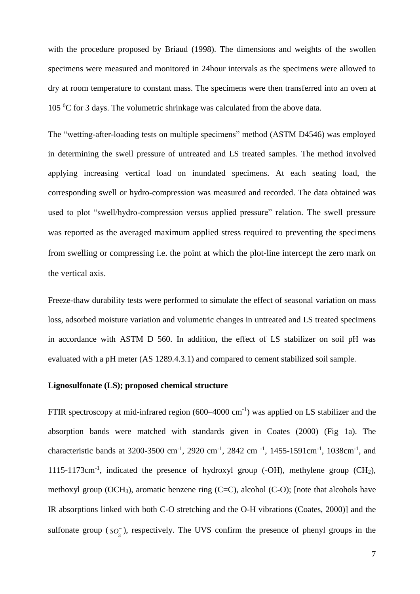with the procedure proposed by Briaud (1998). The dimensions and weights of the swollen specimens were measured and monitored in 24hour intervals as the specimens were allowed to dry at room temperature to constant mass. The specimens were then transferred into an oven at 105  $\rm{^0C}$  for 3 days. The volumetric shrinkage was calculated from the above data.

The "wetting-after-loading tests on multiple specimens" method (ASTM D4546) was employed in determining the swell pressure of untreated and LS treated samples. The method involved applying increasing vertical load on inundated specimens. At each seating load, the corresponding swell or hydro-compression was measured and recorded. The data obtained was used to plot "swell/hydro-compression versus applied pressure" relation. The swell pressure was reported as the averaged maximum applied stress required to preventing the specimens from swelling or compressing i.e. the point at which the plot-line intercept the zero mark on the vertical axis.

Freeze-thaw durability tests were performed to simulate the effect of seasonal variation on mass loss, adsorbed moisture variation and volumetric changes in untreated and LS treated specimens in accordance with ASTM D 560. In addition, the effect of LS stabilizer on soil pH was evaluated with a pH meter (AS 1289.4.3.1) and compared to cement stabilized soil sample.

## **Lignosulfonate (LS); proposed chemical structure**

FTIR spectroscopy at mid-infrared region  $(600-4000 \text{ cm}^{-1})$  was applied on LS stabilizer and the absorption bands were matched with standards given in Coates (2000) (Fig 1a). The characteristic bands at 3200-3500 cm<sup>-1</sup>, 2920 cm<sup>-1</sup>, 2842 cm<sup>-1</sup>, 1455-1591cm<sup>-1</sup>, 1038cm<sup>-1</sup>, and 1115-1173cm<sup>-1</sup>, indicated the presence of hydroxyl group (-OH), methylene group (CH<sub>2</sub>), methoxyl group (OCH<sub>3</sub>), aromatic benzene ring (C=C), alcohol (C-O); [note that alcohols have IR absorptions linked with both C-O stretching and the O-H vibrations (Coates, 2000)] and the sulfonate group  $(s\overline{o_s})$ 3 *SO* ), respectively. The UVS confirm the presence of phenyl groups in the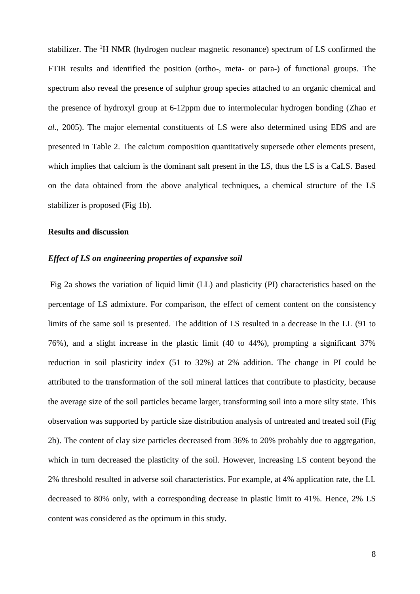stabilizer. The <sup>1</sup>H NMR (hydrogen nuclear magnetic resonance) spectrum of LS confirmed the FTIR results and identified the position (ortho-, meta- or para-) of functional groups. The spectrum also reveal the presence of sulphur group species attached to an organic chemical and the presence of hydroxyl group at 6-12ppm due to intermolecular hydrogen bonding (Zhao *et al.,* 2005). The major elemental constituents of LS were also determined using EDS and are presented in Table 2. The calcium composition quantitatively supersede other elements present, which implies that calcium is the dominant salt present in the LS, thus the LS is a CaLS. Based on the data obtained from the above analytical techniques, a chemical structure of the LS stabilizer is proposed (Fig 1b).

#### **Results and discussion**

# *Effect of LS on engineering properties of expansive soil*

Fig 2a shows the variation of liquid limit (LL) and plasticity (PI) characteristics based on the percentage of LS admixture. For comparison, the effect of cement content on the consistency limits of the same soil is presented. The addition of LS resulted in a decrease in the LL (91 to 76%), and a slight increase in the plastic limit (40 to 44%), prompting a significant 37% reduction in soil plasticity index (51 to 32%) at 2% addition. The change in PI could be attributed to the transformation of the soil mineral lattices that contribute to plasticity, because the average size of the soil particles became larger, transforming soil into a more silty state. This observation was supported by particle size distribution analysis of untreated and treated soil (Fig 2b). The content of clay size particles decreased from 36% to 20% probably due to aggregation, which in turn decreased the plasticity of the soil. However, increasing LS content beyond the 2% threshold resulted in adverse soil characteristics. For example, at 4% application rate, the LL decreased to 80% only, with a corresponding decrease in plastic limit to 41%. Hence, 2% LS content was considered as the optimum in this study.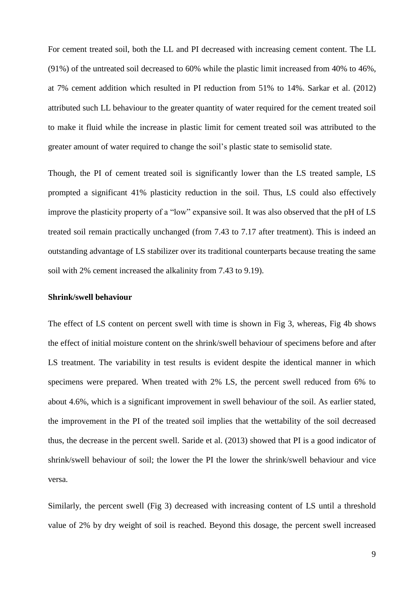For cement treated soil, both the LL and PI decreased with increasing cement content. The LL (91%) of the untreated soil decreased to 60% while the plastic limit increased from 40% to 46%, at 7% cement addition which resulted in PI reduction from 51% to 14%. Sarkar et al. (2012) attributed such LL behaviour to the greater quantity of water required for the cement treated soil to make it fluid while the increase in plastic limit for cement treated soil was attributed to the greater amount of water required to change the soil's plastic state to semisolid state.

Though, the PI of cement treated soil is significantly lower than the LS treated sample, LS prompted a significant 41% plasticity reduction in the soil. Thus, LS could also effectively improve the plasticity property of a "low" expansive soil. It was also observed that the pH of LS treated soil remain practically unchanged (from 7.43 to 7.17 after treatment). This is indeed an outstanding advantage of LS stabilizer over its traditional counterparts because treating the same soil with 2% cement increased the alkalinity from 7.43 to 9.19).

## **Shrink/swell behaviour**

The effect of LS content on percent swell with time is shown in Fig 3, whereas, Fig 4b shows the effect of initial moisture content on the shrink/swell behaviour of specimens before and after LS treatment. The variability in test results is evident despite the identical manner in which specimens were prepared. When treated with 2% LS, the percent swell reduced from 6% to about 4.6%, which is a significant improvement in swell behaviour of the soil. As earlier stated, the improvement in the PI of the treated soil implies that the wettability of the soil decreased thus, the decrease in the percent swell. Saride et al. (2013) showed that PI is a good indicator of shrink/swell behaviour of soil; the lower the PI the lower the shrink/swell behaviour and vice versa.

Similarly, the percent swell (Fig 3) decreased with increasing content of LS until a threshold value of 2% by dry weight of soil is reached. Beyond this dosage, the percent swell increased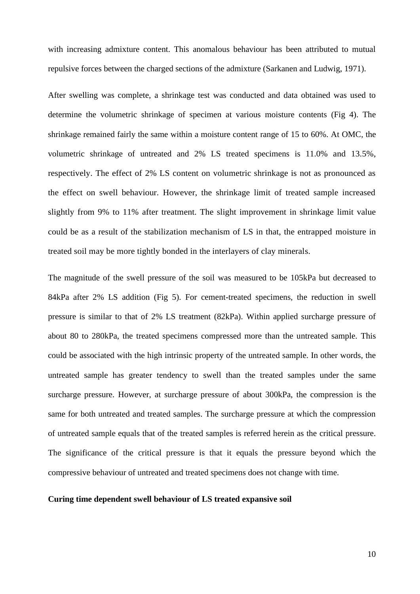with increasing admixture content. This anomalous behaviour has been attributed to mutual repulsive forces between the charged sections of the admixture (Sarkanen and Ludwig, 1971).

After swelling was complete, a shrinkage test was conducted and data obtained was used to determine the volumetric shrinkage of specimen at various moisture contents (Fig 4). The shrinkage remained fairly the same within a moisture content range of 15 to 60%. At OMC, the volumetric shrinkage of untreated and 2% LS treated specimens is 11.0% and 13.5%, respectively. The effect of 2% LS content on volumetric shrinkage is not as pronounced as the effect on swell behaviour. However, the shrinkage limit of treated sample increased slightly from 9% to 11% after treatment. The slight improvement in shrinkage limit value could be as a result of the stabilization mechanism of LS in that, the entrapped moisture in treated soil may be more tightly bonded in the interlayers of clay minerals.

The magnitude of the swell pressure of the soil was measured to be 105kPa but decreased to 84kPa after 2% LS addition (Fig 5). For cement-treated specimens, the reduction in swell pressure is similar to that of 2% LS treatment (82kPa). Within applied surcharge pressure of about 80 to 280kPa, the treated specimens compressed more than the untreated sample. This could be associated with the high intrinsic property of the untreated sample. In other words, the untreated sample has greater tendency to swell than the treated samples under the same surcharge pressure. However, at surcharge pressure of about 300kPa, the compression is the same for both untreated and treated samples. The surcharge pressure at which the compression of untreated sample equals that of the treated samples is referred herein as the critical pressure. The significance of the critical pressure is that it equals the pressure beyond which the compressive behaviour of untreated and treated specimens does not change with time.

# **Curing time dependent swell behaviour of LS treated expansive soil**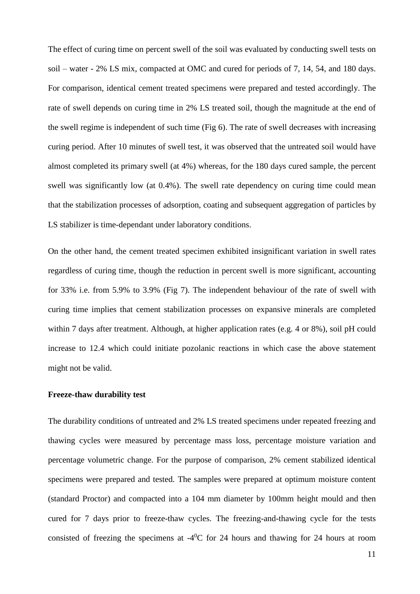The effect of curing time on percent swell of the soil was evaluated by conducting swell tests on soil – water - 2% LS mix, compacted at OMC and cured for periods of 7, 14, 54, and 180 days. For comparison, identical cement treated specimens were prepared and tested accordingly. The rate of swell depends on curing time in 2% LS treated soil, though the magnitude at the end of the swell regime is independent of such time (Fig 6). The rate of swell decreases with increasing curing period. After 10 minutes of swell test, it was observed that the untreated soil would have almost completed its primary swell (at 4%) whereas, for the 180 days cured sample, the percent swell was significantly low (at 0.4%). The swell rate dependency on curing time could mean that the stabilization processes of adsorption, coating and subsequent aggregation of particles by LS stabilizer is time-dependant under laboratory conditions.

On the other hand, the cement treated specimen exhibited insignificant variation in swell rates regardless of curing time, though the reduction in percent swell is more significant, accounting for 33% i.e. from 5.9% to 3.9% (Fig 7). The independent behaviour of the rate of swell with curing time implies that cement stabilization processes on expansive minerals are completed within 7 days after treatment. Although, at higher application rates (e.g. 4 or 8%), soil pH could increase to 12.4 which could initiate pozolanic reactions in which case the above statement might not be valid.

#### **Freeze-thaw durability test**

The durability conditions of untreated and 2% LS treated specimens under repeated freezing and thawing cycles were measured by percentage mass loss, percentage moisture variation and percentage volumetric change. For the purpose of comparison, 2% cement stabilized identical specimens were prepared and tested. The samples were prepared at optimum moisture content (standard Proctor) and compacted into a 104 mm diameter by 100mm height mould and then cured for 7 days prior to freeze-thaw cycles. The freezing-and-thawing cycle for the tests consisted of freezing the specimens at  $-4$ <sup>0</sup>C for 24 hours and thawing for 24 hours at room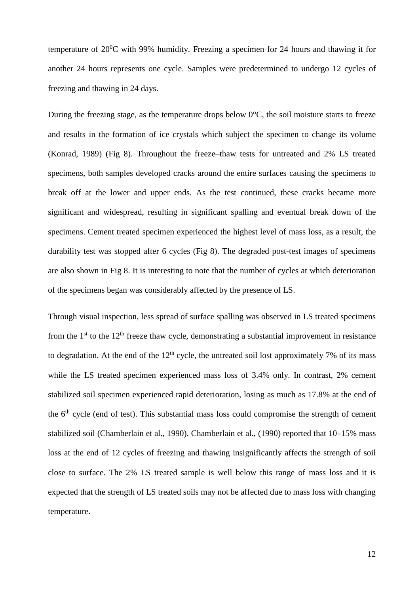temperature of  $20^0C$  with 99% humidity. Freezing a specimen for 24 hours and thawing it for another 24 hours represents one cycle. Samples were predetermined to undergo 12 cycles of freezing and thawing in 24 days.

During the freezing stage, as the temperature drops below  $0^{\circ}$ C, the soil moisture starts to freeze and results in the formation of ice crystals which subject the specimen to change its volume (Konrad, 1989) (Fig 8). Throughout the freeze–thaw tests for untreated and 2% LS treated specimens, both samples developed cracks around the entire surfaces causing the specimens to break off at the lower and upper ends. As the test continued, these cracks became more significant and widespread, resulting in significant spalling and eventual break down of the specimens. Cement treated specimen experienced the highest level of mass loss, as a result, the durability test was stopped after 6 cycles (Fig 8). The degraded post-test images of specimens are also shown in Fig 8. It is interesting to note that the number of cycles at which deterioration of the specimens began was considerably affected by the presence of LS.

Through visual inspection, less spread of surface spalling was observed in LS treated specimens from the  $1<sup>st</sup>$  to the  $12<sup>th</sup>$  freeze thaw cycle, demonstrating a substantial improvement in resistance to degradation. At the end of the  $12<sup>th</sup>$  cycle, the untreated soil lost approximately 7% of its mass while the LS treated specimen experienced mass loss of 3.4% only. In contrast, 2% cement stabilized soil specimen experienced rapid deterioration, losing as much as 17.8% at the end of the 6<sup>th</sup> cycle (end of test). This substantial mass loss could compromise the strength of cement stabilized soil (Chamberlain et al., 1990). Chamberlain et al., (1990) reported that 10–15% mass loss at the end of 12 cycles of freezing and thawing insignificantly affects the strength of soil close to surface. The 2% LS treated sample is well below this range of mass loss and it is expected that the strength of LS treated soils may not be affected due to mass loss with changing temperature.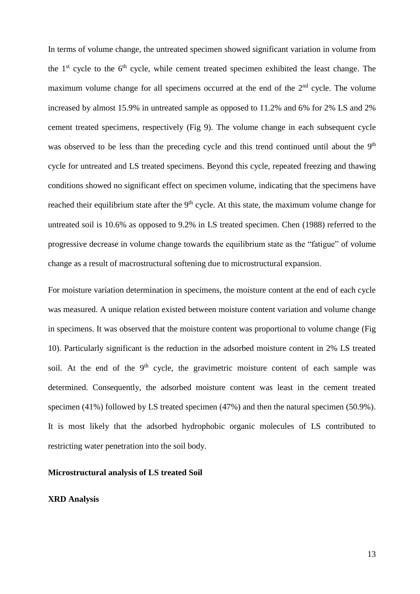In terms of volume change, the untreated specimen showed significant variation in volume from the  $1<sup>st</sup>$  cycle to the  $6<sup>th</sup>$  cycle, while cement treated specimen exhibited the least change. The maximum volume change for all specimens occurred at the end of the  $2<sup>nd</sup>$  cycle. The volume increased by almost 15.9% in untreated sample as opposed to 11.2% and 6% for 2% LS and 2% cement treated specimens, respectively (Fig 9). The volume change in each subsequent cycle was observed to be less than the preceding cycle and this trend continued until about the 9<sup>th</sup> cycle for untreated and LS treated specimens. Beyond this cycle, repeated freezing and thawing conditions showed no significant effect on specimen volume, indicating that the specimens have reached their equilibrium state after the 9<sup>th</sup> cycle. At this state, the maximum volume change for untreated soil is 10.6% as opposed to 9.2% in LS treated specimen. Chen (1988) referred to the progressive decrease in volume change towards the equilibrium state as the "fatigue" of volume change as a result of macrostructural softening due to microstructural expansion.

For moisture variation determination in specimens, the moisture content at the end of each cycle was measured. A unique relation existed between moisture content variation and volume change in specimens. It was observed that the moisture content was proportional to volume change (Fig 10). Particularly significant is the reduction in the adsorbed moisture content in 2% LS treated soil. At the end of the  $9<sup>th</sup>$  cycle, the gravimetric moisture content of each sample was determined. Consequently, the adsorbed moisture content was least in the cement treated specimen (41%) followed by LS treated specimen (47%) and then the natural specimen (50.9%). It is most likely that the adsorbed hydrophobic organic molecules of LS contributed to restricting water penetration into the soil body.

#### **Microstructural analysis of LS treated Soil**

# **XRD Analysis**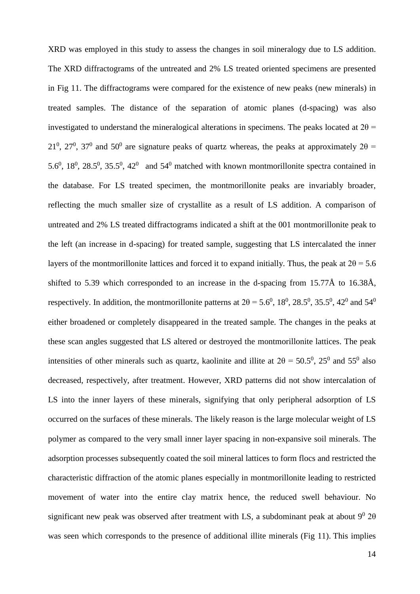XRD was employed in this study to assess the changes in soil mineralogy due to LS addition. The XRD diffractograms of the untreated and 2% LS treated oriented specimens are presented in Fig 11. The diffractograms were compared for the existence of new peaks (new minerals) in treated samples. The distance of the separation of atomic planes (d-spacing) was also investigated to understand the mineralogical alterations in specimens. The peaks located at  $2\theta$  = 21<sup>0</sup>, 27<sup>0</sup>, 37<sup>0</sup> and 50<sup>0</sup> are signature peaks of quartz whereas, the peaks at approximately 2 $\theta$  = 5.6<sup>0</sup>, 18<sup>0</sup>, 28.5<sup>0</sup>, 35.5<sup>0</sup>, 42<sup>0</sup> and 54<sup>0</sup> matched with known montmorillonite spectra contained in the database. For LS treated specimen, the montmorillonite peaks are invariably broader, reflecting the much smaller size of crystallite as a result of LS addition. A comparison of untreated and 2% LS treated diffractograms indicated a shift at the 001 montmorillonite peak to the left (an increase in d-spacing) for treated sample, suggesting that LS intercalated the inner layers of the montmorillonite lattices and forced it to expand initially. Thus, the peak at  $2\theta = 5.6$ shifted to 5.39 which corresponded to an increase in the d-spacing from 15.77Å to 16.38Å, respectively. In addition, the montmorillonite patterns at  $2\theta = 5.6^{\circ}$ ,  $18^{\circ}$ ,  $28.5^{\circ}$ ,  $35.5^{\circ}$ ,  $42^{\circ}$  and  $54^{\circ}$ either broadened or completely disappeared in the treated sample. The changes in the peaks at these scan angles suggested that LS altered or destroyed the montmorillonite lattices. The peak intensities of other minerals such as quartz, kaolinite and illite at  $2\theta = 50.5^{\circ}$ ,  $25^{\circ}$  and  $55^{\circ}$  also decreased, respectively, after treatment. However, XRD patterns did not show intercalation of LS into the inner layers of these minerals, signifying that only peripheral adsorption of LS occurred on the surfaces of these minerals. The likely reason is the large molecular weight of LS polymer as compared to the very small inner layer spacing in non-expansive soil minerals. The adsorption processes subsequently coated the soil mineral lattices to form flocs and restricted the characteristic diffraction of the atomic planes especially in montmorillonite leading to restricted movement of water into the entire clay matrix hence, the reduced swell behaviour. No significant new peak was observed after treatment with LS, a subdominant peak at about  $9^0$  2 $\theta$ was seen which corresponds to the presence of additional illite minerals (Fig 11). This implies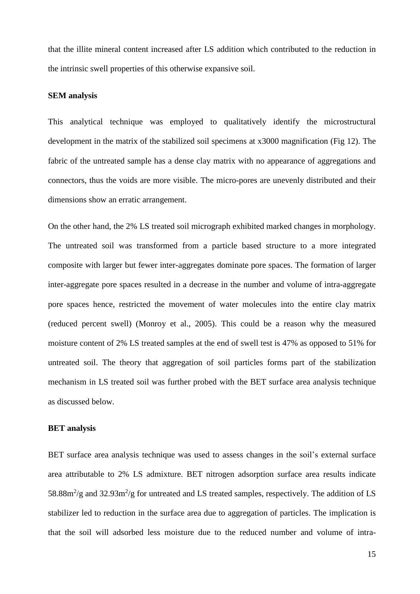that the illite mineral content increased after LS addition which contributed to the reduction in the intrinsic swell properties of this otherwise expansive soil.

#### **SEM analysis**

This analytical technique was employed to qualitatively identify the microstructural development in the matrix of the stabilized soil specimens at x3000 magnification (Fig 12). The fabric of the untreated sample has a dense clay matrix with no appearance of aggregations and connectors, thus the voids are more visible. The micro-pores are unevenly distributed and their dimensions show an erratic arrangement.

On the other hand, the 2% LS treated soil micrograph exhibited marked changes in morphology. The untreated soil was transformed from a particle based structure to a more integrated composite with larger but fewer inter-aggregates dominate pore spaces. The formation of larger inter-aggregate pore spaces resulted in a decrease in the number and volume of intra-aggregate pore spaces hence, restricted the movement of water molecules into the entire clay matrix (reduced percent swell) (Monroy et al., 2005). This could be a reason why the measured moisture content of 2% LS treated samples at the end of swell test is 47% as opposed to 51% for untreated soil. The theory that aggregation of soil particles forms part of the stabilization mechanism in LS treated soil was further probed with the BET surface area analysis technique as discussed below.

## **BET analysis**

BET surface area analysis technique was used to assess changes in the soil's external surface area attributable to 2% LS admixture. BET nitrogen adsorption surface area results indicate 58.88 $\text{m}^2/\text{g}$  and 32.93 $\text{m}^2/\text{g}$  for untreated and LS treated samples, respectively. The addition of LS stabilizer led to reduction in the surface area due to aggregation of particles. The implication is that the soil will adsorbed less moisture due to the reduced number and volume of intra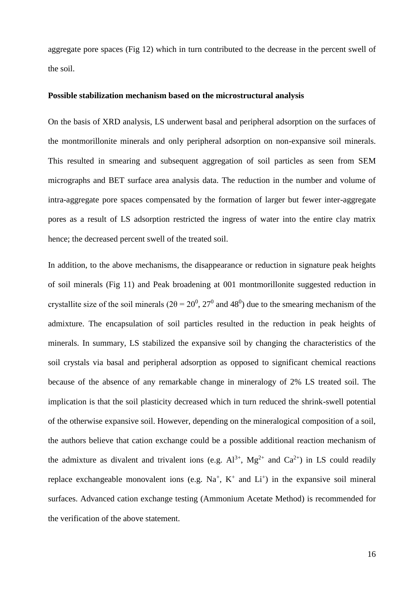aggregate pore spaces (Fig 12) which in turn contributed to the decrease in the percent swell of the soil.

#### **Possible stabilization mechanism based on the microstructural analysis**

On the basis of XRD analysis, LS underwent basal and peripheral adsorption on the surfaces of the montmorillonite minerals and only peripheral adsorption on non-expansive soil minerals. This resulted in smearing and subsequent aggregation of soil particles as seen from SEM micrographs and BET surface area analysis data. The reduction in the number and volume of intra-aggregate pore spaces compensated by the formation of larger but fewer inter-aggregate pores as a result of LS adsorption restricted the ingress of water into the entire clay matrix hence; the decreased percent swell of the treated soil.

In addition, to the above mechanisms, the disappearance or reduction in signature peak heights of soil minerals (Fig 11) and Peak broadening at 001 montmorillonite suggested reduction in crystallite size of the soil minerals ( $2\theta = 20^{\circ}$ ,  $27^{\circ}$  and 48<sup>0</sup>) due to the smearing mechanism of the admixture. The encapsulation of soil particles resulted in the reduction in peak heights of minerals. In summary, LS stabilized the expansive soil by changing the characteristics of the soil crystals via basal and peripheral adsorption as opposed to significant chemical reactions because of the absence of any remarkable change in mineralogy of 2% LS treated soil. The implication is that the soil plasticity decreased which in turn reduced the shrink-swell potential of the otherwise expansive soil. However, depending on the mineralogical composition of a soil, the authors believe that cation exchange could be a possible additional reaction mechanism of the admixture as divalent and trivalent ions (e.g.  $Al^{3+}$ ,  $Mg^{2+}$  and  $Ca^{2+}$ ) in LS could readily replace exchangeable monovalent ions (e.g.  $Na^{+}$ ,  $K^{+}$  and  $Li^{+}$ ) in the expansive soil mineral surfaces. Advanced cation exchange testing (Ammonium Acetate Method) is recommended for the verification of the above statement.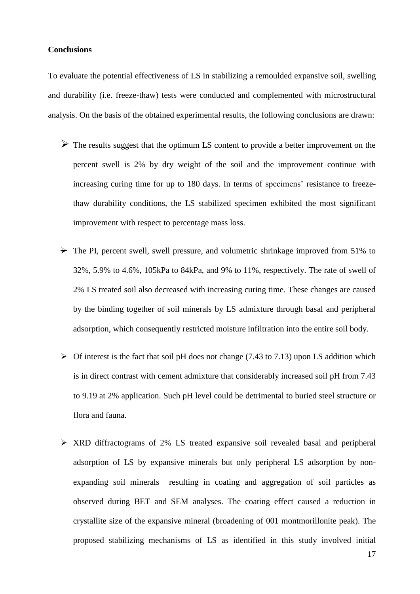## **Conclusions**

To evaluate the potential effectiveness of LS in stabilizing a remoulded expansive soil, swelling and durability (i.e. freeze-thaw) tests were conducted and complemented with microstructural analysis. On the basis of the obtained experimental results, the following conclusions are drawn:

- $\triangleright$  The results suggest that the optimum LS content to provide a better improvement on the percent swell is 2% by dry weight of the soil and the improvement continue with increasing curing time for up to 180 days. In terms of specimens' resistance to freezethaw durability conditions, the LS stabilized specimen exhibited the most significant improvement with respect to percentage mass loss.
- $\rightarrow$  The PI, percent swell, swell pressure, and volumetric shrinkage improved from 51% to 32%, 5.9% to 4.6%, 105kPa to 84kPa, and 9% to 11%, respectively. The rate of swell of 2% LS treated soil also decreased with increasing curing time. These changes are caused by the binding together of soil minerals by LS admixture through basal and peripheral adsorption, which consequently restricted moisture infiltration into the entire soil body.
- $\triangleright$  Of interest is the fact that soil pH does not change (7.43 to 7.13) upon LS addition which is in direct contrast with cement admixture that considerably increased soil pH from 7.43 to 9.19 at 2% application. Such pH level could be detrimental to buried steel structure or flora and fauna.
- XRD diffractograms of 2% LS treated expansive soil revealed basal and peripheral adsorption of LS by expansive minerals but only peripheral LS adsorption by nonexpanding soil minerals resulting in coating and aggregation of soil particles as observed during BET and SEM analyses. The coating effect caused a reduction in crystallite size of the expansive mineral (broadening of 001 montmorillonite peak). The proposed stabilizing mechanisms of LS as identified in this study involved initial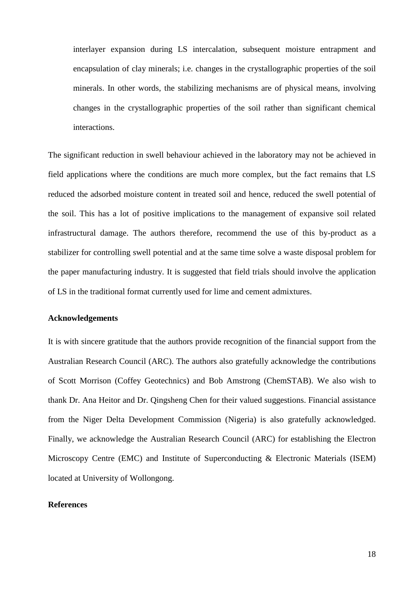interlayer expansion during LS intercalation, subsequent moisture entrapment and encapsulation of clay minerals; i.e. changes in the crystallographic properties of the soil minerals. In other words, the stabilizing mechanisms are of physical means, involving changes in the crystallographic properties of the soil rather than significant chemical interactions.

The significant reduction in swell behaviour achieved in the laboratory may not be achieved in field applications where the conditions are much more complex, but the fact remains that LS reduced the adsorbed moisture content in treated soil and hence, reduced the swell potential of the soil. This has a lot of positive implications to the management of expansive soil related infrastructural damage. The authors therefore, recommend the use of this by-product as a stabilizer for controlling swell potential and at the same time solve a waste disposal problem for the paper manufacturing industry. It is suggested that field trials should involve the application of LS in the traditional format currently used for lime and cement admixtures.

#### **Acknowledgements**

It is with sincere gratitude that the authors provide recognition of the financial support from the Australian Research Council (ARC). The authors also gratefully acknowledge the contributions of Scott Morrison (Coffey Geotechnics) and Bob Amstrong (ChemSTAB). We also wish to thank Dr. Ana Heitor and Dr. Qingsheng Chen for their valued suggestions. Financial assistance from the Niger Delta Development Commission (Nigeria) is also gratefully acknowledged. Finally, we acknowledge the Australian Research Council (ARC) for establishing the Electron Microscopy Centre (EMC) and Institute of Superconducting & Electronic Materials (ISEM) located at University of Wollongong.

## **References**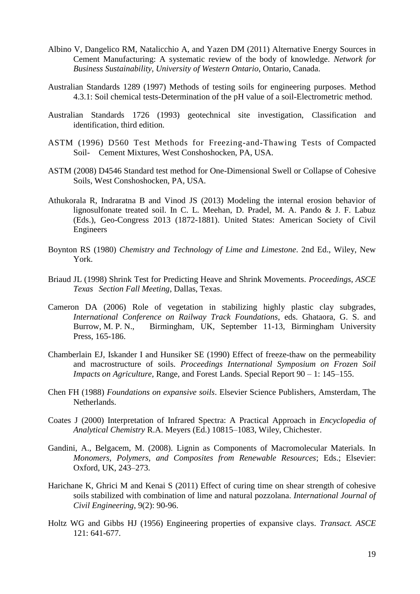- Albino V, Dangelico RM, Natalicchio A, and Yazen DM (2011) Alternative Energy Sources in Cement Manufacturing: A systematic review of the body of knowledge. *Network for Business Sustainability, University of Western Ontario*, Ontario, Canada.
- Australian Standards 1289 (1997) Methods of testing soils for engineering purposes. Method 4.3.1: Soil chemical tests-Determination of the pH value of a soil-Electrometric method.
- Australian Standards 1726 (1993) geotechnical site investigation, Classification and identification, third edition.
- ASTM (1996) D560 Test Methods for Freezing-and-Thawing Tests of Compacted Soil- Cement Mixtures, West Conshoshocken, PA, USA.
- ASTM (2008) D4546 Standard test method for One-Dimensional Swell or Collapse of Cohesive Soils, West Conshoshocken, PA, USA.
- Athukorala R, Indraratna B and Vinod JS (2013) Modeling the internal erosion behavior of lignosulfonate treated soil. In C. L. Meehan, D. Pradel, M. A. Pando & J. F. Labuz (Eds.), Geo-Congress 2013 (1872-1881). United States: American Society of Civil Engineers
- Boynton RS (1980) *Chemistry and Technology of Lime and Limestone*. 2nd Ed., Wiley, New York.
- Briaud JL (1998) Shrink Test for Predicting Heave and Shrink Movements. *Proceedings, ASCE Texas Section Fall Meeting*, Dallas, Texas.
- Cameron DA (2006) Role of vegetation in stabilizing highly plastic clay subgrades, *International Conference on Railway Track Foundations*, eds. Ghataora, G. S. and Burrow, M. P. N., Birmingham, UK, September 11-13, Birmingham University Press, 165-186.
- Chamberlain EJ, Iskander I and Hunsiker SE (1990) Effect of freeze-thaw on the permeability and macrostructure of soils. *Proceedings International Symposium on Frozen Soil Impacts on Agriculture*, Range, and Forest Lands. Special Report 90 – 1: 145–155.
- Chen FH (1988) *Foundations on expansive soils*. Elsevier Science Publishers, Amsterdam, The Netherlands.
- Coates J (2000) Interpretation of Infrared Spectra: A Practical Approach in *Encyclopedia of Analytical Chemistry* R.A. Meyers (Ed.) 10815–1083, Wiley, Chichester.
- Gandini, A., Belgacem, M. (2008). Lignin as Components of Macromolecular Materials. In *Monomers, Polymers, and Composites from Renewable Resources*; Eds.; Elsevier: Oxford, UK, 243–273.
- Harichane K, Ghrici M and Kenai S (2011) Effect of curing time on shear strength of cohesive soils stabilized with combination of lime and natural pozzolana. *International Journal of Civil Engineering*, 9(2): 90-96.
- Holtz WG and Gibbs HJ (1956) Engineering properties of expansive clays. *Transact. ASCE* 121: 641-677.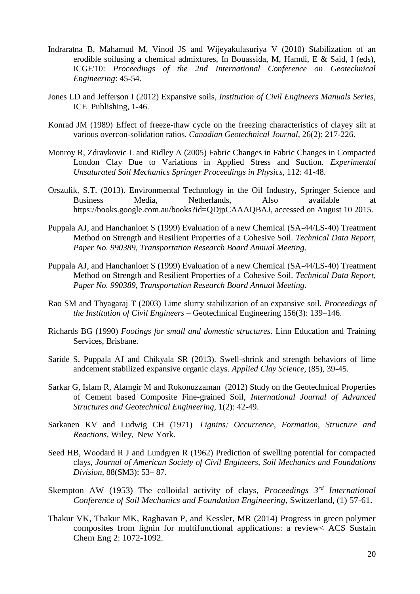- Indraratna B, Mahamud M, Vinod JS and Wijeyakulasuriya V (2010) Stabilization of an erodible soilusing a chemical admixtures, In Bouassida, M, Hamdi, E & Said, I (eds), ICGE'10: *Proceedings of the 2nd International Conference on Geotechnical Engineering*: 45-54.
- Jones LD and Jefferson I (2012) Expansive soils, *Institution of Civil Engineers Manuals Series*, ICE Publishing, 1-46.
- Konrad JM (1989) Effect of freeze-thaw cycle on the freezing characteristics of clayey silt at various overcon-solidation ratios. *Canadian Geotechnical Journal*, 26(2): 217-226.
- [Monroy](http://link.springer.com/search?facet-author=%22Rafael+Monroy%22) R, [Zdravkovic](http://link.springer.com/search?facet-author=%22Lidija+Zdravkovic%22) L and [Ridley](http://link.springer.com/search?facet-author=%22Andrew+Ridley%22) A (2005) Fabric Changes in Fabric Changes in Compacted London Clay Due to Variations in Applied Stress and Suction. *[Experimental](http://link.springer.com/book/10.1007/3-540-69873-6)  [Unsaturated Soil Mechanics](http://link.springer.com/book/10.1007/3-540-69873-6) [Springer Proceedings in Physics](http://link.springer.com/bookseries/361)*, 112: 41-48.
- Orszulik, S.T. (2013). Environmental Technology in the Oil Industry, Springer Science and Business Media, Netherlands, Also available [https://books.google.com.au/books?id=QDjpCAAAQBAJ,](https://books.google.com.au/books?id=QDjpCAAAQBAJ) accessed on August 10 2015.
- Puppala AJ, and Hanchanloet S (1999) Evaluation of a new Chemical (SA-44/LS-40) Treatment Method on Strength and Resilient Properties of a Cohesive Soil. *Technical Data Report, Paper No. 990389, Transportation Research Board Annual Meeting*.
- Puppala AJ, and Hanchanloet S (1999) Evaluation of a new Chemical (SA-44/LS-40) Treatment Method on Strength and Resilient Properties of a Cohesive Soil. *Technical Data Report, Paper No. 990389, Transportation Research Board Annual Meeting*.
- Rao SM and Thyagaraj T (2003) Lime slurry stabilization of an expansive soil. *Proceedings of the Institution of Civil Engineers* – Geotechnical Engineering 156(3): 139–146.
- Richards BG (1990) *Footings for small and domestic structures*. Linn Education and Training Services, Brisbane.
- Saride S, Puppala AJ and Chikyala SR (2013). Swell-shrink and strength behaviors of lime andcement stabilized expansive organic clays. *Applied Clay Science*, (85), 39-45.
- Sarkar G, Islam R, Alamgir M and Rokonuzzaman (2012) Study on the Geotechnical Properties of Cement based Composite Fine-grained Soil, *International Journal of Advanced Structures and Geotechnical Engineering,* 1(2): 42-49.
- Sarkanen KV and Ludwig CH (1971) *Lignins: Occurrence, Formation, Structure and Reactions*, Wiley, New York.
- Seed HB, Woodard R J and Lundgren R (1962) Prediction of swelling potential for compacted clays, *Journal of American Society of Civil Engineers, Soil Mechanics and Foundations Division,* 88(SM3): 53– 87.
- Skempton AW (1953) The colloidal activity of clays, *Proceedings 3rd International Conference of Soil Mechanics and Foundation Engineering*, Switzerland, (1) 57-61.
- Thakur VK, Thakur MK, Raghavan P, and Kessler, MR (2014) Progress in green polymer composites from lignin for multifunctional applications: a review< ACS Sustain Chem Eng 2: 1072-1092.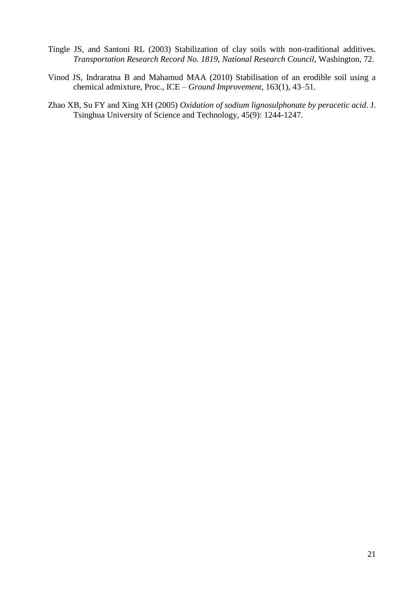- Tingle JS, and Santoni RL (2003) Stabilization of clay soils with non-traditional additives. *Transportation Research Record No. 1819, National Research Council*, Washington, 72.
- Vinod JS, Indraratna B and Mahamud MAA (2010) Stabilisation of an erodible soil using a chemical admixture, Proc., ICE – *Ground Improvement*, 163(1), 43–51.
- Zhao XB, Su FY and Xing XH (2005) *Oxidation of sodium lignosulphonate by peracetic acid*. J. Tsinghua University of Science and Technology, 45(9): 1244-1247.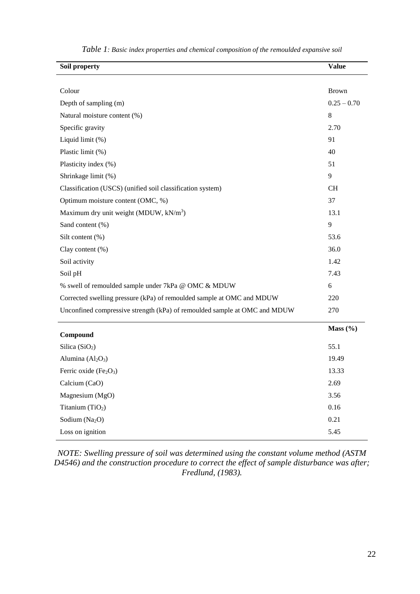| Soil property                                                             | <b>Value</b>  |
|---------------------------------------------------------------------------|---------------|
|                                                                           |               |
| Colour                                                                    | <b>Brown</b>  |
| Depth of sampling (m)                                                     | $0.25 - 0.70$ |
| Natural moisture content (%)                                              | 8             |
| Specific gravity                                                          | 2.70          |
| Liquid limit (%)                                                          | 91            |
| Plastic limit (%)                                                         | 40            |
| Plasticity index (%)                                                      | 51            |
| Shrinkage limit (%)                                                       | 9             |
| Classification (USCS) (unified soil classification system)                | <b>CH</b>     |
| Optimum moisture content (OMC, %)                                         | 37            |
| Maximum dry unit weight (MDUW, kN/m <sup>3</sup> )                        | 13.1          |
| Sand content (%)                                                          | 9             |
| Silt content (%)                                                          | 53.6          |
| Clay content (%)                                                          | 36.0          |
| Soil activity                                                             | 1.42          |
| Soil pH                                                                   | 7.43          |
| % swell of remoulded sample under 7kPa @ OMC & MDUW                       | 6             |
| Corrected swelling pressure (kPa) of remoulded sample at OMC and MDUW     | 220           |
| Unconfined compressive strength (kPa) of remoulded sample at OMC and MDUW | 270           |
| Compound                                                                  | Mass $(\% )$  |
| Silica (SiO <sub>2</sub> )                                                | 55.1          |
| Alumina $(Al2O3)$                                                         | 19.49         |
| Ferric oxide $(Fe2O3)$                                                    | 13.33         |
| Calcium (CaO)                                                             | 2.69          |
| Magnesium (MgO)                                                           | 3.56          |
| Titanium (TiO <sub>2</sub> )                                              | 0.16          |
| Sodium (Na <sub>2</sub> O)                                                | 0.21          |
| Loss on ignition                                                          | 5.45          |

*Table 1: Basic index properties and chemical composition of the remoulded expansive soil* 

*NOTE: Swelling pressure of soil was determined using the constant volume method (ASTM D4546) and the construction procedure to correct the effect of sample disturbance was after; Fredlund, (1983).*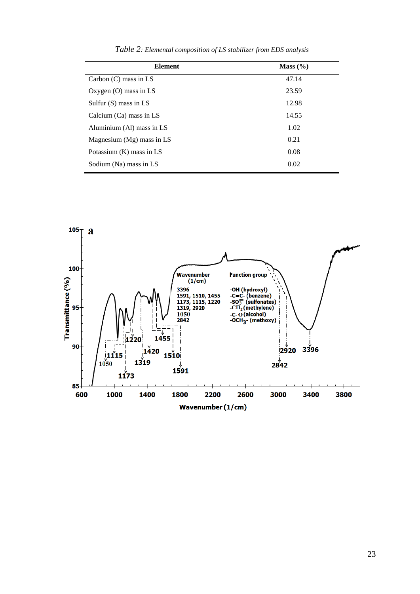| <b>Element</b>              | Mass $(\% )$ |
|-----------------------------|--------------|
| Carbon $(C)$ mass in LS     | 47.14        |
| Oxygen $(O)$ mass in LS     | 23.59        |
| Sulfur $(S)$ mass in LS     | 12.98        |
| Calcium $(Ca)$ mass in LS   | 14.55        |
| Aluminium (Al) mass in LS   | 1.02         |
| Magnesium $(Mg)$ mass in LS | 0.21         |
| Potassium $(K)$ mass in LS  | 0.08         |
| Sodium (Na) mass in LS      | 0.02         |

 $105$ <sup>T</sup> a 100 r<br>Wavenumber<br>(1/cm) **Function group** Transmittance (%) -OH (hydroxyl)<br>-C=C- (benzene)<br>-SO<sub>3</sub> (sulfonates)<br>-CH<sub>2</sub> (methylene)<br>-C- O (alcohol)<br>-OCH<sub>3</sub> - (methoxy) 3396 3396<br>1591, 1510, 1455<br>1173, 1115, 1220<br>1319, 2920<br>1050<br>2842 95  $1455$ 1220 ):<br>∣1420<br>∫1420 90 **3396**  $\frac{1}{1050}$ <br>1050 2920  $1510$  $1319$  $2842$ 1591  $11$  $73$ 85 1400 2200 600 1000 1800 2600 3000 3400 3800 Wavenumber (1/cm)

*Table 2: Elemental composition of LS stabilizer from EDS analysis*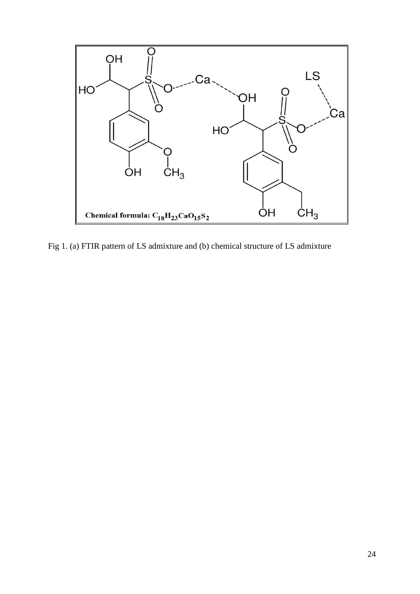

Fig 1. (a) FTIR pattern of LS admixture and (b) chemical structure of LS admixture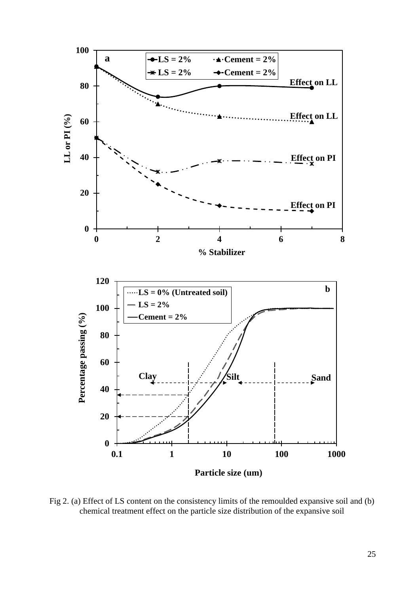

Fig 2. (a) Effect of LS content on the consistency limits of the remoulded expansive soil and (b) chemical treatment effect on the particle size distribution of the expansive soil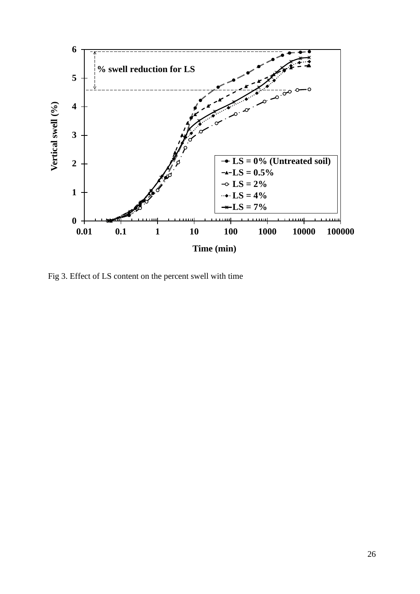

Fig 3. Effect of LS content on the percent swell with time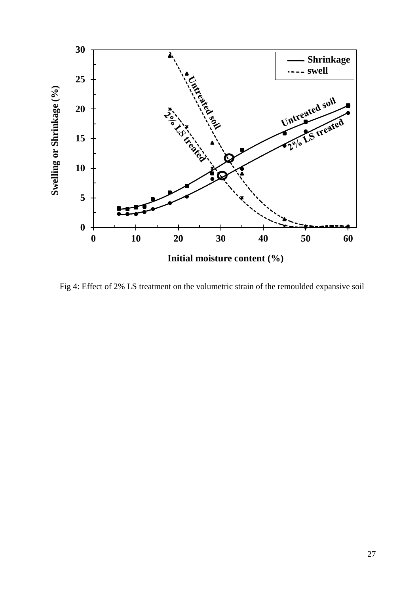

Fig 4: Effect of 2% LS treatment on the volumetric strain of the remoulded expansive soil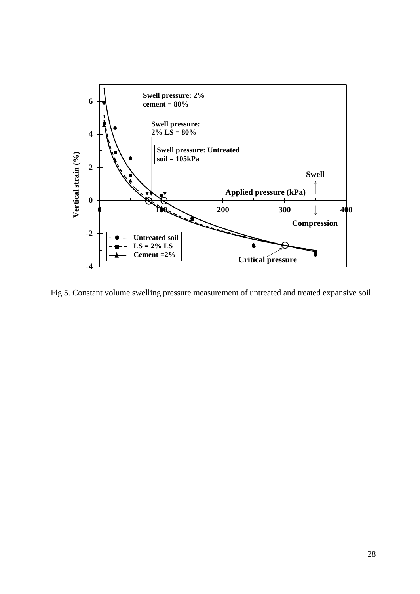

Fig 5. Constant volume swelling pressure measurement of untreated and treated expansive soil.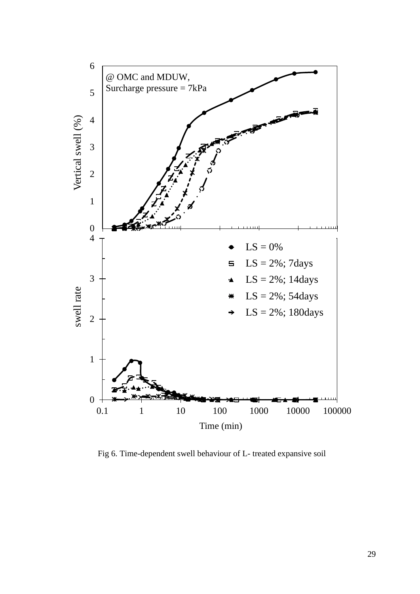

Fig 6. Time-dependent swell behaviour of L- treated expansive soil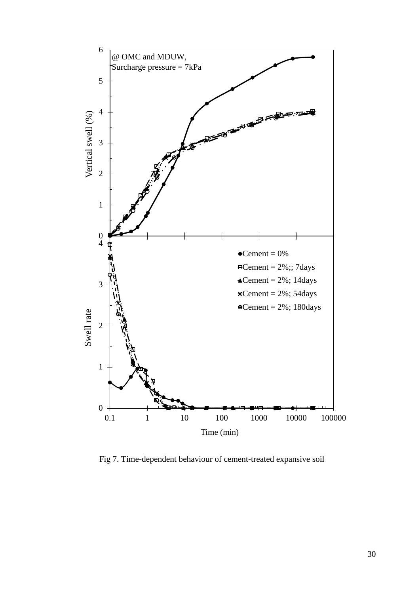

Fig 7. Time-dependent behaviour of cement-treated expansive soil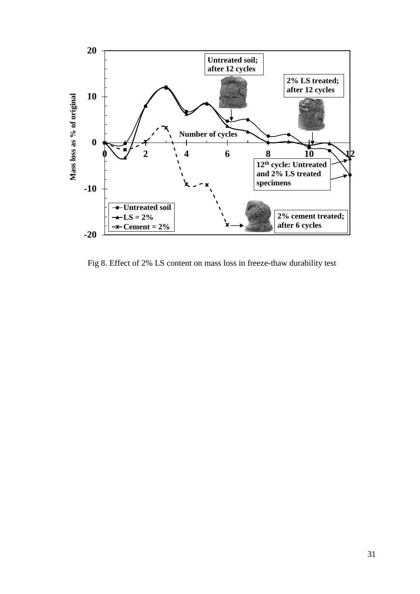

Fig 8. Effect of 2% LS content on mass loss in freeze-thaw durability test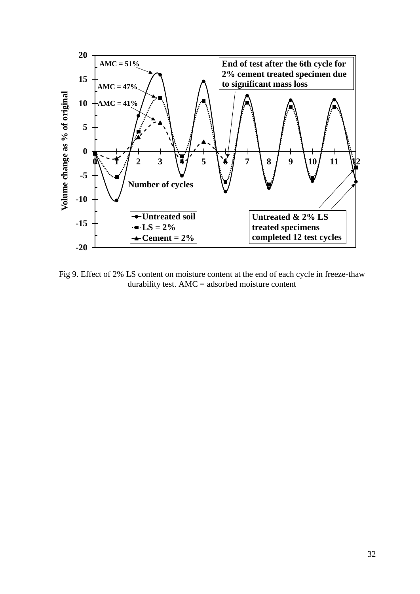

Fig 9. Effect of 2% LS content on moisture content at the end of each cycle in freeze-thaw durability test. AMC = adsorbed moisture content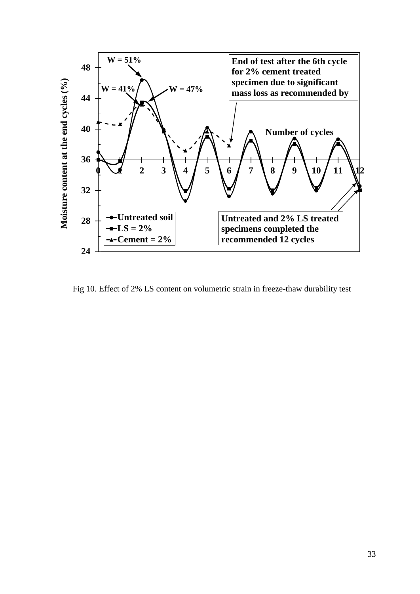

Fig 10. Effect of 2% LS content on volumetric strain in freeze-thaw durability test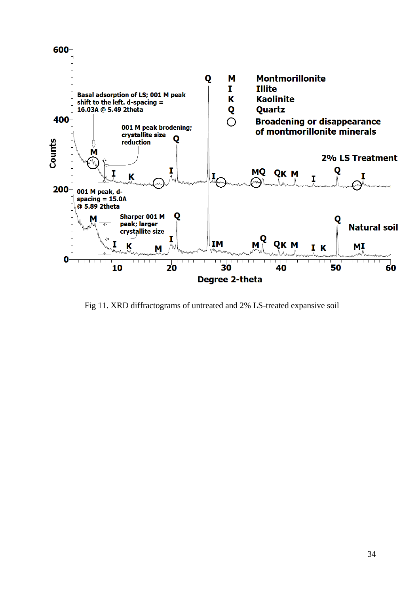

Fig 11. XRD diffractograms of untreated and 2% LS-treated expansive soil